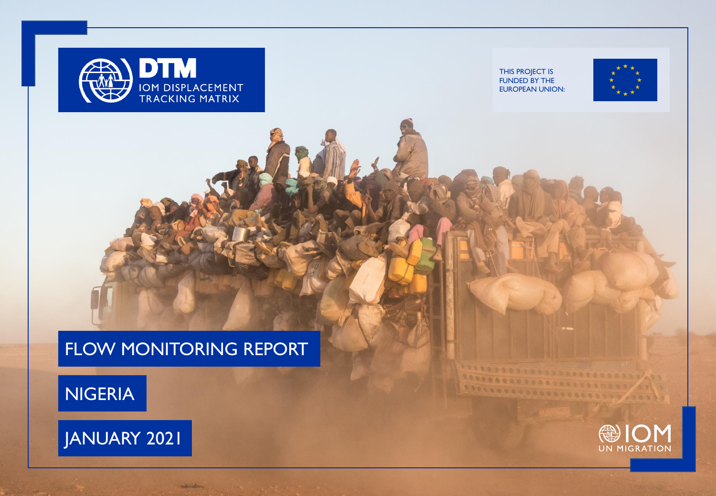



**Address** 

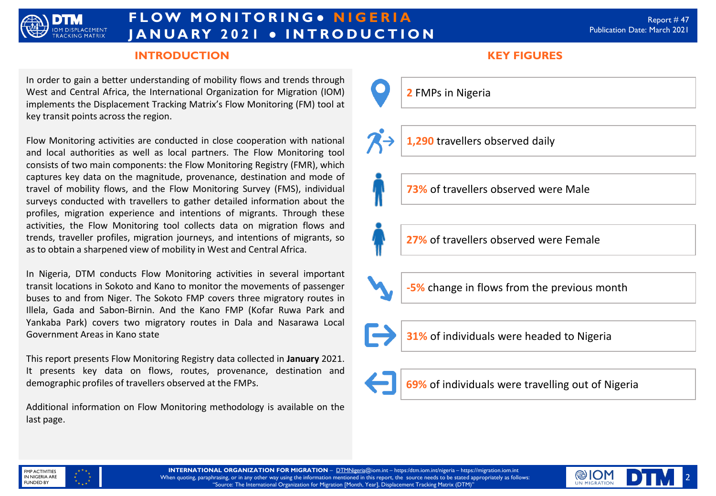

# **F L O W M O N I TO R I N G ● N I G E R I A J A N U A RY 2 0 2 1 ● I N T R O D U C T I O N**

### **INTRODUCTION KEY FIGURES**

In order to gain a better understanding of mobility flows and trends through West and Central Africa, the International Organization for Migration (IOM) implements the Displacement Tracking Matrix's Flow Monitoring (FM) tool at key transit points across the region.

Flow Monitoring activities are conducted in close cooperation with national and local authorities as well as local partners. The Flow Monitoring tool consists of two main components: the Flow Monitoring Registry (FMR), which captures key data on the magnitude, provenance, destination and mode of travel of mobility flows, and the Flow Monitoring Survey (FMS), individual surveys conducted with travellers to gather detailed information about the profiles, migration experience and intentions of migrants. Through these activities, the Flow Monitoring tool collects data on migration flows and trends, traveller profiles, migration journeys, and intentions of migrants, so as to obtain a sharpened view of mobility in West and Central Africa.

In Nigeria, DTM conducts Flow Monitoring activities in several important transit locations in Sokoto and Kano to monitor the movements of passenger buses to and from Niger. The Sokoto FMP covers three migratory routes in Illela, Gada and Sabon-Birnin. And the Kano FMP (Kofar Ruwa Park and Yankaba Park) covers two migratory routes in Dala and Nasarawa Local Government Areas in Kano state

This report presents Flow Monitoring Registry data collected in **January** 2021. It presents key data on flows, routes, provenance, destination and demographic profiles of travellers observed at the FMPs.

Additional information on Flow Monitoring methodology is available on the last page.



**1,290** travellers observed daily

**73%** of travellers observed were Male

**27%** of travellers observed were Female

**-5%** change in flows from the previous month



**31%** of individuals were headed to Nigeria





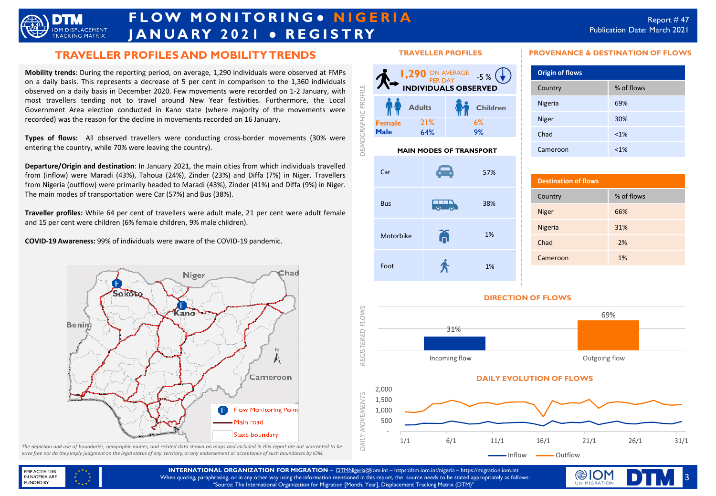

# **F L O W M O N I TO R I N G ● N I G E R I A J A N U A RY 2 0 2 1 ● R E G I S T RY**

### **TRAVELLER PROFILES AND MOBILITY TRENDS**

**Mobility trends**: During the reporting period, on average, 1,290 individuals were observed at FMPs on a daily basis. This represents a decrease of 5 per cent in comparison to the 1,360 individuals observed on a daily basis in December 2020. Few movements were recorded on 1-2 January, with most travellers tending not to travel around New Year festivities. Furthermore, the Local Government Area election conducted in Kano state (where majority of the movements were recorded) was the reason for the decline in movements recorded on 16 January.

**Types of flows:** All observed travellers were conducting cross-border movements (30% were entering the country, while 70% were leaving the country).

**Departure/Origin and destination**: In January 2021, the main cities from which individuals travelled from (inflow) were Maradi (43%), Tahoua (24%), Zinder (23%) and Diffa (7%) in Niger. Travellers from Nigeria (outflow) were primarily headed to Maradi (43%), Zinder (41%) and Diffa (9%) in Niger. The main modes of transportation were Car (57%) and Bus (38%).

**Traveller profiles:** While 64 per cent of travellers were adult male, 21 per cent were adult female and 15 per cent were children (6% female children, 9% male children).

**COVID-19 Awareness:** 99% of individuals were aware of the COVID-19 pandemic.



The depiction and use of boundaries, geographic names, and related data shown on maps and included in this report are not warranted to be error free nor do they imply judgment on the legal status of any territory, or any endorsement or acceptance of such boundaries by IOM.

#### **TRAVELLER PROFILES**



#### **MAIN MODES OF TRANSPORT**



## **Destination of flows** Country % of flows Niger 66% Nigeria 31% Chad 2% Cameroon 1%

**PROVENANCE & DESTINATION OF FLOWS**

Country % of flows

Nigeria 69% Niger 30% Chad <1% Cameroon <1%

**Origin of flows**





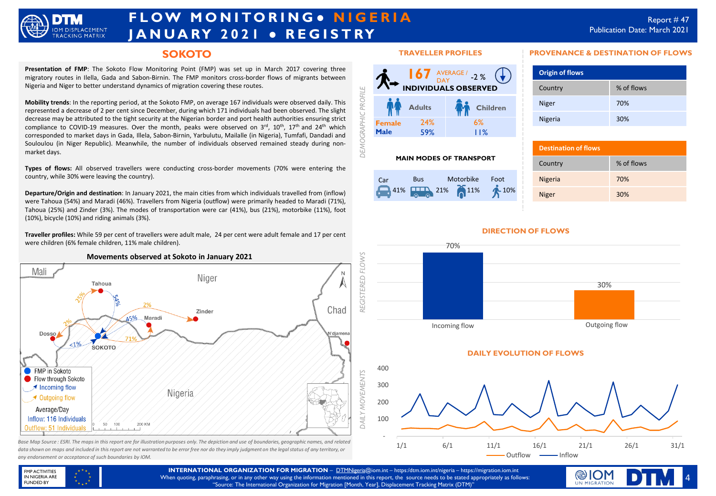

# **F L O W M O N I TO R I N G ● N I G E R I A J A N U A RY 2 0 2 1 ● R E G I S T RY**

### **SOKOTO**

**Presentation of FMP**: The Sokoto Flow Monitoring Point (FMP) was set up in March 2017 covering three migratory routes in Ilella, Gada and Sabon-Birnin. The FMP monitors cross-border flows of migrants between Nigeria and Niger to better understand dynamics of migration covering these routes.

**Mobility trends**: In the reporting period, at the Sokoto FMP, on average 167 individuals were observed daily. This represented a decrease of 2 per cent since December, during which 171 individuals had been observed. The slight decrease may be attributed to the tight security at the Nigerian border and port health authorities ensuring strict compliance to COVID-19 measures. Over the month, peaks were observed on 3rd, 10<sup>th</sup>, 17<sup>th</sup> and 24<sup>th</sup> which corresponded to market days in Gada, Illela, Sabon-Birnin, Yarbulutu, Mailalle (in Nigeria), Tumfafi, Dandadi and Souloulou (in Niger Republic). Meanwhile, the number of individuals observed remained steady during nonmarket days.

**Types of flows:** All observed travellers were conducting cross-border movements (70% were entering the country, while 30% were leaving the country).

**Departure/Origin and destination**: In January 2021, the main cities from which individuals travelled from (inflow) were Tahoua (54%) and Maradi (46%). Travellers from Nigeria (outflow) were primarily headed to Maradi (71%), Tahoua (25%) and Zinder (3%). The modes of transportation were car (41%), bus (21%), motorbike (11%), foot (10%), bicycle (10%) and riding animals (3%).

**Traveller profiles:** While 59 per cent of travellers were adult male, 24 per cent were adult female and 17 per cent were children (6% female children, 11% male children).



*data shown on maps and included in this report are not warranted to be error free nor do they imply judgment on the legal status of any territory, or any endorsement or acceptance of such boundaries by IOM.*

#### **TRAVELLER PROFILES**



#### **MAIN MODES OF TRANSPORT**



#### **PROVENANCE & DESTINATION OF FLOWS**

| <b>Origin of flows</b> |            |
|------------------------|------------|
| Country                | % of flows |
| <b>Niger</b>           | 70%        |
| Nigeria                | 30%        |

| <b>Destination of flows</b> |            |
|-----------------------------|------------|
| Country                     | % of flows |
| <b>Nigeria</b>              | 70%        |
| <b>Niger</b>                | 30%        |



**DIRECTION OF FLOWS**

#### **DAILY EVOLUTION OF FLOWS**



FMP ACTIVITIES IN NIGERIA ARE FUNDED BY

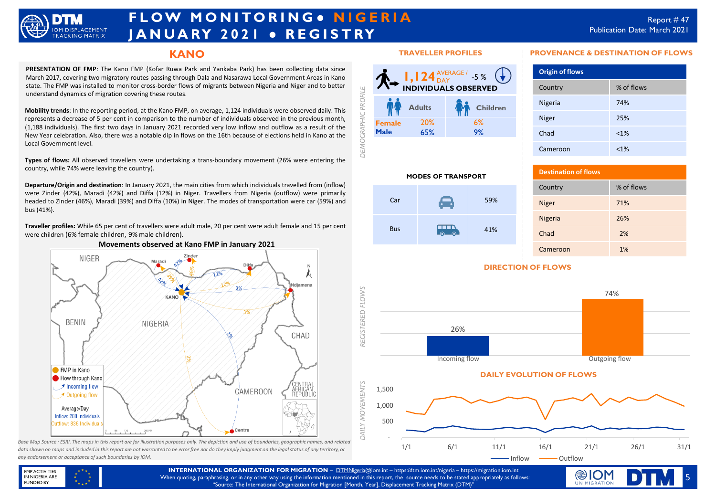

# **F L O W M O N I TO R I N G ● N I G E R I A J A N U A RY 2 0 2 1 ● R E G I S T RY**

### **KANO**

**PRESENTATION OF FMP**: The Kano FMP (Kofar Ruwa Park and Yankaba Park) has been collecting data since March 2017, covering two migratory routes passing through Dala and Nasarawa Local Government Areas in Kano state. The FMP was installed to monitor cross-border flows of migrants between Nigeria and Niger and to better understand dynamics of migration covering these routes.

**Mobility trends**: In the reporting period, at the Kano FMP, on average, 1,124 individuals were observed daily. This represents a decrease of 5 per cent in comparison to the number of individuals observed in the previous month, (1,188 individuals). The first two days in January 2021 recorded very low inflow and outflow as a result of the New Year celebration. Also, there was a notable dip in flows on the 16th because of elections held in Kano at the Local Government level.

**Types of flows:** All observed travellers were undertaking a trans-boundary movement (26% were entering the country, while 74% were leaving the country).

**Departure/Origin and destination**: In January 2021, the main cities from which individuals travelled from (inflow) were Zinder (42%), Maradi (42%) and Diffa (12%) in Niger. Travellers from Nigeria (outflow) were primarily headed to Zinder (46%), Maradi (39%) and Diffa (10%) in Niger. The modes of transportation were car (59%) and bus (41%).

**Traveller profiles:** While 65 per cent of travellers were adult male, 20 per cent were adult female and 15 per cent were children (6% female children, 9% male children).



Base Map Source : ESRI. The maps in this report are for illustration purposes only. The depiction and use of boundaries, geographic names, and related *data shown on maps and included in this report are not warranted to be error free nor do they imply judgment on the legal status of any territory, or any endorsement or acceptance of such boundaries by IOM.*

#### **TRAVELLER PROFILES**



 $Car$  59%

 $\overline{a}$ 

**MODES OF TRANSPORT**

Bus

#### **PROVENANCE & DESTINATION OF FLOWS**

| <b>Origin of flows</b> |            |
|------------------------|------------|
| Country                | % of flows |
| Nigeria                | 74%        |
| <b>Niger</b>           | 25%        |
| Chad                   | $< 1\%$    |
| Cameroon               | $< 1\%$    |

| <b>Destination of flows</b> |            |
|-----------------------------|------------|
| Country                     | % of flows |
| <b>Niger</b>                | 71%        |
| <b>Nigeria</b>              | 26%        |
| Chad                        | 2%         |
| Cameroon                    | 1%         |

### **DIRECTION OF FLOWS**

41%



#### FMP ACTIVITIES IN NIGERIA ARE FUNDED BY